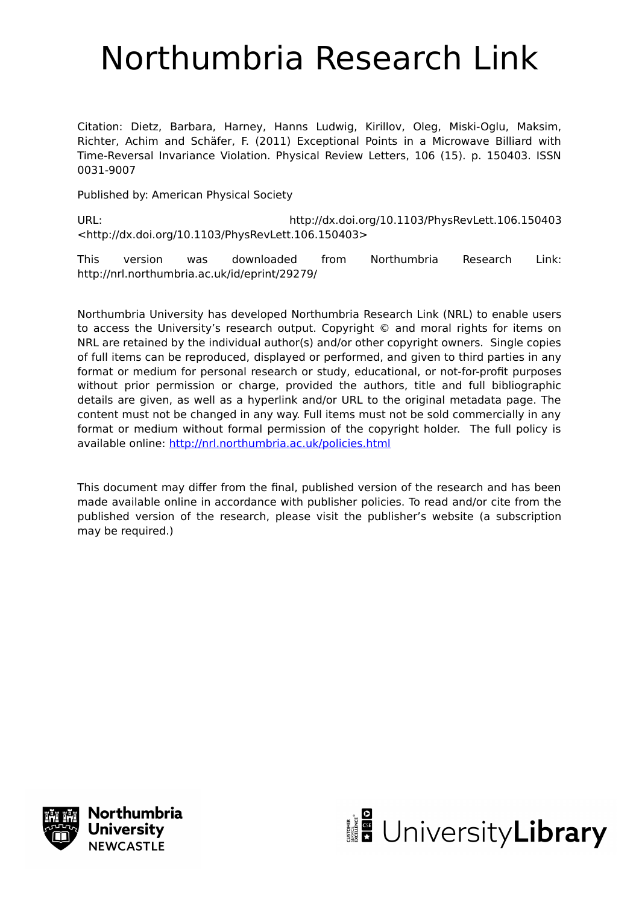## Northumbria Research Link

Citation: Dietz, Barbara, Harney, Hanns Ludwig, Kirillov, Oleg, Miski-Oglu, Maksim, Richter, Achim and Schäfer, F. (2011) Exceptional Points in a Microwave Billiard with Time-Reversal Invariance Violation. Physical Review Letters, 106 (15). p. 150403. ISSN 0031-9007

Published by: American Physical Society

URL: http://dx.doi.org/10.1103/PhysRevLett.106.150403 <http://dx.doi.org/10.1103/PhysRevLett.106.150403>

This version was downloaded from Northumbria Research Link: http://nrl.northumbria.ac.uk/id/eprint/29279/

Northumbria University has developed Northumbria Research Link (NRL) to enable users to access the University's research output. Copyright © and moral rights for items on NRL are retained by the individual author(s) and/or other copyright owners. Single copies of full items can be reproduced, displayed or performed, and given to third parties in any format or medium for personal research or study, educational, or not-for-profit purposes without prior permission or charge, provided the authors, title and full bibliographic details are given, as well as a hyperlink and/or URL to the original metadata page. The content must not be changed in any way. Full items must not be sold commercially in any format or medium without formal permission of the copyright holder. The full policy is available online:<http://nrl.northumbria.ac.uk/policies.html>

This document may differ from the final, published version of the research and has been made available online in accordance with publisher policies. To read and/or cite from the published version of the research, please visit the publisher's website (a subscription may be required.)



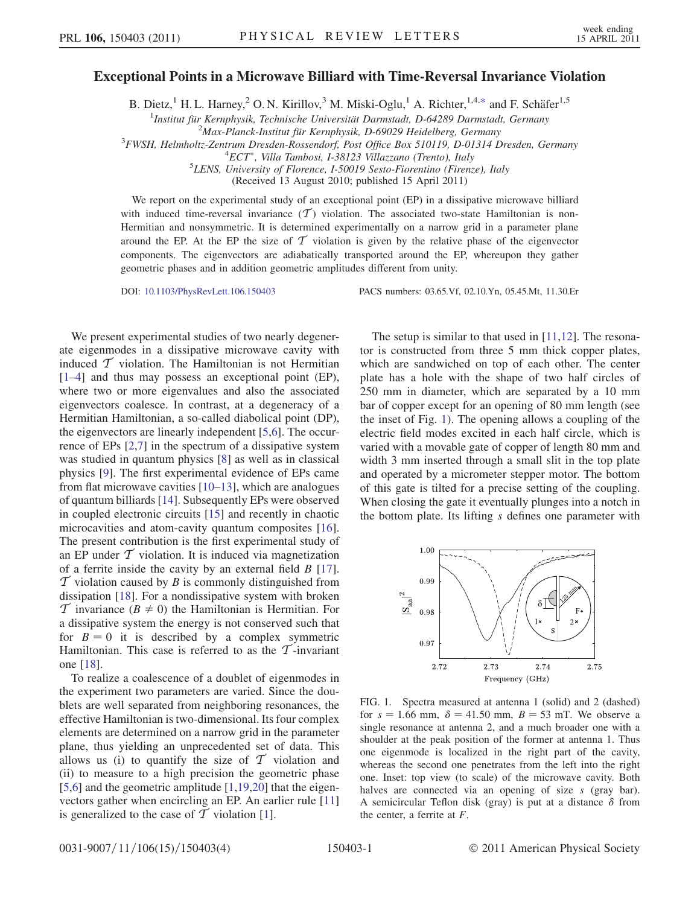## <span id="page-1-1"></span>Exceptional Points in a Microwave Billiard with Time-Reversal Invariance Violation

B. Dietz,<sup>1</sup> H. L. Harney,<sup>2</sup> O. N. Kirillov,<sup>3</sup> M. Miski-Oglu,<sup>1</sup> A. Richter,<sup>1,4[,\\*](#page-4-0)</sup> and F. Schäfer<sup>1,5</sup>

<sup>1</sup>Institut für Kernphysik, Technische Universität Darmstadt, D-64289 Darmstadt, Germany<br><sup>2</sup>Max Planck Institut für Kernphysik, D-60020 Heidelberg Germany

 $2$ Max-Planck-Institut für Kernphysik, D-69029 Heidelberg, Germany

<sup>3</sup>FWSH, Helmholtz-Zentrum Dresden-Rossendorf, Post Office Box 510119, D-01314 Dresden, Germany

 ${}^{4}ECT$ <sup>\*</sup>, Villa Tambosi, I-38123 Villazzano (Trento), Italy

 ${}^{5}$ LENS, University of Florence, I-50019 Sesto-Fiorentino (Firenze), Italy

(Received 13 August 2010; published 15 April 2011)

We report on the experimental study of an exceptional point (EP) in a dissipative microwave billiard with induced time-reversal invariance  $(\mathcal{T})$  violation. The associated two-state Hamiltonian is non-Hermitian and nonsymmetric. It is determined experimentally on a narrow grid in a parameter plane around the EP. At the EP the size of  $\mathcal T$  violation is given by the relative phase of the eigenvector components. The eigenvectors are adiabatically transported around the EP, whereupon they gather geometric phases and in addition geometric amplitudes different from unity.

DOI: [10.1103/PhysRevLett.106.150403](http://dx.doi.org/10.1103/PhysRevLett.106.150403) PACS numbers: 03.65.Vf, 02.10.Yn, 05.45.Mt, 11.30.Er

We present experimental studies of two nearly degenerate eigenmodes in a dissipative microwave cavity with induced  $\mathcal T$  violation. The Hamiltonian is not Hermitian [\[1–](#page-4-1)[4](#page-4-2)] and thus may possess an exceptional point (EP), where two or more eigenvalues and also the associated eigenvectors coalesce. In contrast, at a degeneracy of a Hermitian Hamiltonian, a so-called diabolical point (DP), the eigenvectors are linearly independent [[5,](#page-4-3)[6\]](#page-4-4). The occurrence of EPs [\[2,](#page-4-5)[7](#page-4-6)] in the spectrum of a dissipative system was studied in quantum physics [[8\]](#page-4-7) as well as in classical physics [\[9](#page-4-8)]. The first experimental evidence of EPs came from flat microwave cavities [\[10–](#page-4-9)[13](#page-4-10)], which are analogues of quantum billiards [[14\]](#page-4-11). Subsequently EPs were observed in coupled electronic circuits [\[15\]](#page-4-12) and recently in chaotic microcavities and atom-cavity quantum composites [\[16\]](#page-4-13). The present contribution is the first experimental study of an EP under  $\mathcal T$  violation. It is induced via magnetization of a ferrite inside the cavity by an external field  $B$  [\[17\]](#page-4-14).  $\mathcal T$  violation caused by B is commonly distinguished from dissipation [\[18\]](#page-4-15). For a nondissipative system with broken  $\mathcal T$  invariance  $(B \neq 0)$  the Hamiltonian is Hermitian. For a dissipative system the energy is not conserved such that for  $B = 0$  it is described by a complex symmetric Hamiltonian. This case is referred to as the  $\mathcal T$ -invariant one [[18](#page-4-15)].

To realize a coalescence of a doublet of eigenmodes in the experiment two parameters are varied. Since the doublets are well separated from neighboring resonances, the effective Hamiltonian is two-dimensional. Its four complex elements are determined on a narrow grid in the parameter plane, thus yielding an unprecedented set of data. This allows us (i) to quantify the size of  $\mathcal T$  violation and (ii) to measure to a high precision the geometric phase [\[5,](#page-4-3)[6](#page-4-4)] and the geometric amplitude [[1](#page-4-1),[19](#page-4-16),[20](#page-4-17)] that the eigenvectors gather when encircling an EP. An earlier rule [\[11\]](#page-4-18) is generalized to the case of  $\mathcal T$  violation [[1\]](#page-4-1).

The setup is similar to that used in [[11](#page-4-18),[12](#page-4-19)]. The resonator is constructed from three 5 mm thick copper plates, which are sandwiched on top of each other. The center plate has a hole with the shape of two half circles of 250 mm in diameter, which are separated by a 10 mm bar of copper except for an opening of 80 mm length (see the inset of Fig. [1](#page-1-0)). The opening allows a coupling of the electric field modes excited in each half circle, which is varied with a movable gate of copper of length 80 mm and width 3 mm inserted through a small slit in the top plate and operated by a micrometer stepper motor. The bottom of this gate is tilted for a precise setting of the coupling. When closing the gate it eventually plunges into a notch in the bottom plate. Its lifting s defines one parameter with

<span id="page-1-0"></span>

FIG. 1. Spectra measured at antenna 1 (solid) and 2 (dashed) for  $s = 1.66$  mm,  $\delta = 41.50$  mm,  $B = 53$  mT. We observe a single resonance at antenna 2, and a much broader one with a shoulder at the peak position of the former at antenna 1. Thus one eigenmode is localized in the right part of the cavity, whereas the second one penetrates from the left into the right one. Inset: top view (to scale) of the microwave cavity. Both halves are connected via an opening of size s (gray bar). A semicircular Teflon disk (gray) is put at a distance  $\delta$  from the center, a ferrite at F.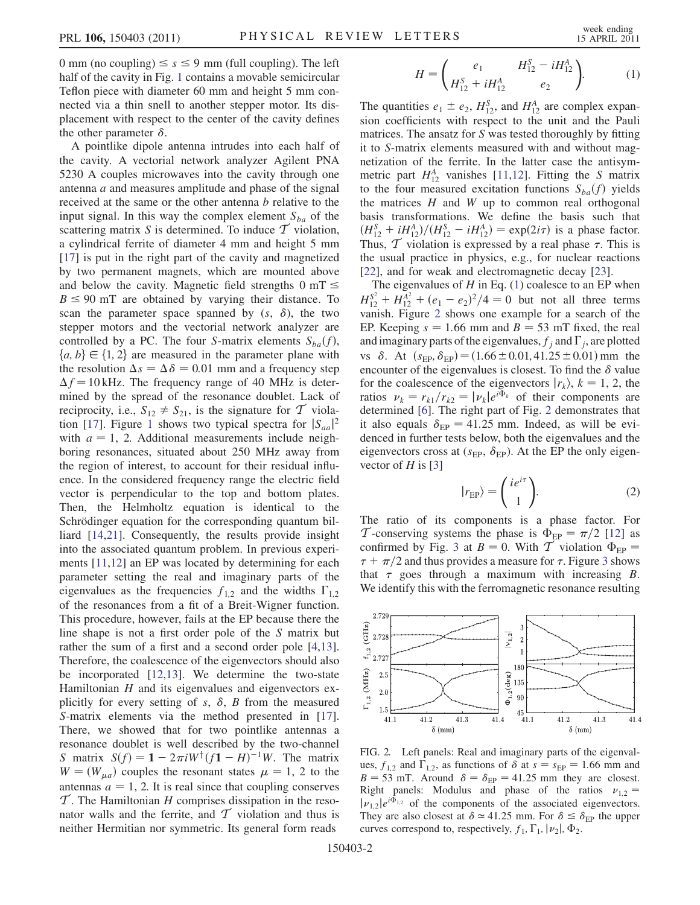0 mm (no coupling)  $\leq s \leq 9$  mm (full coupling). The left half of the cavity in Fig. 1 contains a movable semicircular half of the cavity in Fig. [1](#page-1-0) contains a movable semicircular Teflon piece with diameter 60 mm and height 5 mm connected via a thin snell to another stepper motor. Its displacement with respect to the center of the cavity defines the other parameter  $\delta$ .

A pointlike dipole antenna intrudes into each half of the cavity. A vectorial network analyzer Agilent PNA 5230 A couples microwaves into the cavity through one antenna a and measures amplitude and phase of the signal received at the same or the other antenna b relative to the input signal. In this way the complex element  $S_{ba}$  of the scattering matrix S is determined. To induce  $\mathcal T$  violation, a cylindrical ferrite of diameter 4 mm and height 5 mm [\[17\]](#page-4-14) is put in the right part of the cavity and magnetized by two permanent magnets, which are mounted above and below the cavity. Magnetic field strengths  $0 \text{ mT} \leq R \leq 90 \text{ mT}$  are obtained by varying their distance. To  $B \le 90$  mT are obtained by varying their distance. To scan the parameter space spanned by  $(s, \delta)$  the two scan the parameter space spanned by  $(s, \delta)$ , the two stepper motors and the vectorial network analyzer are controlled by a PC. The four S-matrix elements  $S_{ba}(f)$ ,  ${a, b} \in {1, 2}$  are measured in the parameter plane with the resolution  $\Delta s = \Delta \delta = 0.01$  mm and a frequency step  $\Delta f = 10$  kHz. The frequency range of 40 MHz is determined by the spread of the resonance doublet. Lack of reciprocity, i.e.,  $S_{12} \neq S_{21}$ , is the signature for  $\mathcal T$  viola-tion [\[17\]](#page-4-14). Figure [1](#page-1-0) shows two typical spectra for  $|S_{aa}|^2$ <br>with  $a = 1, 2$  Additional measurements include neighwith  $a = 1$ , 2. Additional measurements include neighboring resonances, situated about 250 MHz away from the region of interest, to account for their residual influence. In the considered frequency range the electric field vector is perpendicular to the top and bottom plates. Then, the Helmholtz equation is identical to the Schrödinger equation for the corresponding quantum billiard [\[14,](#page-4-11)[21\]](#page-4-20). Consequently, the results provide insight into the associated quantum problem. In previous experiments [[11](#page-4-18),[12](#page-4-19)] an EP was located by determining for each parameter setting the real and imaginary parts of the eigenvalues as the frequencies  $f_{1,2}$  and the widths  $\Gamma_{1,2}$ of the resonances from a fit of a Breit-Wigner function. This procedure, however, fails at the EP because there the line shape is not a first order pole of the S matrix but rather the sum of a first and a second order pole [[4](#page-4-2)[,13\]](#page-4-10). Therefore, the coalescence of the eigenvectors should also be incorporated [\[12](#page-4-19)[,13\]](#page-4-10). We determine the two-state Hamiltonian  $H$  and its eigenvalues and eigenvectors explicitly for every setting of s,  $\delta$ , B from the measured S-matrix elements via the method presented in [\[17\]](#page-4-14). There, we showed that for two pointlike antennas a resonance doublet is well described by the two-channel S matrix  $S(f) = 1 - 2\pi i W^{\dagger} (f_1 - H)^{-1} W$ . The matrix  $W = (W)$  couples the resonant states  $\mu = 1, 2$  to the  $W = (W_{\mu a})$  couples the resonant states  $\mu = 1, 2$  to the antennas  $a = 1$ , 2. It is real since that coupling conserves  $\mathcal T$ . The Hamiltonian H comprises dissipation in the resonator walls and the ferrite, and  $\mathcal T$  violation and thus is neither Hermitian nor symmetric. Its general form reads

$$
H = \begin{pmatrix} e_1 & H_{12}^S - iH_{12}^A \\ H_{12}^S + iH_{12}^A & e_2 \end{pmatrix}.
$$
 (1)

<span id="page-2-0"></span>The quantities  $e_1 \pm e_2$ ,  $H_{12}^S$ , and  $H_{12}^A$  are complex expansion coefficients with respect to the unit and the Pauli sion coefficients with respect to the unit and the Pauli matrices. The ansatz for S was tested thoroughly by fitting it to S-matrix elements measured with and without magnetization of the ferrite. In the latter case the antisymmetric part  $H_{12}^A$  $H_{12}^A$  $H_{12}^A$  vanishes [[11](#page-4-18),12]. Fitting the S matrix to the four measured excitation functions  $S_{ba}(f)$  yields the matrices  $H$  and  $W$  up to common real orthogonal basis transformations. We define the basis such that  $(H_{12}^S + iH_{12}^A)/(H_{12}^S - iH_{12}^A) = \exp(2i\tau)$  is a phase factor.<br>Thus  $\mathcal T$  violation is expressed by a real phase  $\tau$ . This is Thus,  $\mathcal T$  violation is expressed by a real phase  $\tau$ . This is the usual practice in physics, e.g., for nuclear reactions [\[22\]](#page-4-21), and for weak and electromagnetic decay [\[23\]](#page-4-22).

The eigenvalues of  $H$  in Eq. ([1\)](#page-2-0) coalesce to an EP when  $H_{12}^{S^2} + H_{12}^{A^2} + (e_1 - e_2)^2/4 = 0$  but not all three terms<br>vanish Figure 2 shows one example for a search of the vanish. Figure [2](#page-2-1) shows one example for a search of the EP. Keeping  $s = 1.66$  mm and  $B = 53$  mT fixed, the real and imaginary parts of the eigenvalues,  $f_i$  and  $\Gamma_i$ , are plotted vs  $\delta$ . At  $(s_{EP}, \delta_{EP}) = (1.66 \pm 0.01, 41.25 \pm 0.01)$  mm the encounter of the eigenvalues is closest. To find the  $\delta$  value for the coalescence of the eigenvectors  $|r_k\rangle$ ,  $k = 1, 2$ , the ratios  $v_k = r_{k1}/r_{k2} = |v_k|e^{i\Phi_k}$  of their components are determined [[6](#page-4-4)]. The right part of Fig. [2](#page-2-1) demonstrates that it also equals  $\delta_{\text{EP}} = 41.25$  mm. Indeed, as will be evidenced in further tests below, both the eigenvalues and the eigenvectors cross at  $(s_{EP}, \delta_{EP})$ . At the EP the only eigenvector of  $H$  is [[3](#page-4-23)]

$$
|r_{\rm EP}\rangle = \begin{pmatrix} ie^{i\tau} \\ 1 \end{pmatrix}.
$$
 (2)

The ratio of its components is a phase factor. For T-conserving systems the phase is  $\Phi_{EP} = \pi/2$  [[12](#page-4-19)] as confirmed by Fig. 3 at  $B = 0$  With T violation  $\Phi_{EP} =$ confirmed by Fig. [3](#page-3-0) at  $B = 0$ . With T violation  $\Phi_{\text{FP}} =$  $\tau + \frac{\pi}{2}$  and thus provides a measure for  $\tau$ . Figure [3](#page-3-0) shows<br>that  $\tau$  goes through a maximum with increasing B that  $\tau$  goes through a maximum with increasing B. We identify this with the ferromagnetic resonance resulting

<span id="page-2-1"></span>

FIG. 2. Left panels: Real and imaginary parts of the eigenvalues,  $f_{1,2}$  and  $\overline{\Gamma}_{1,2}$ , as functions of  $\delta$  at  $s = s_{EP} = 1.66$  mm and  $R = 53$  mT. Around  $\delta = \delta_{-1} = 41.25$  mm, they are closest  $B = 53$  mT. Around  $\delta = \delta_{EP} = 41.25$  mm they are closest. Right panels: Modulus and phase of the ratios  $v_{1,2}$  =  $|\nu_{1,2}|e^{i\Phi_{1,2}}$  of the components of the associated eigenvectors. They are also closest at  $\delta \approx 41.25$  mm. For  $\delta \leq \delta_{EP}$  the upper<br>curves correspond to respectively f. F.  $|\nu_{\text{el}}|$  do. curves correspond to, respectively,  $f_1$ ,  $\Gamma_1$ ,  $|\nu_2|$ ,  $\Phi_2$ .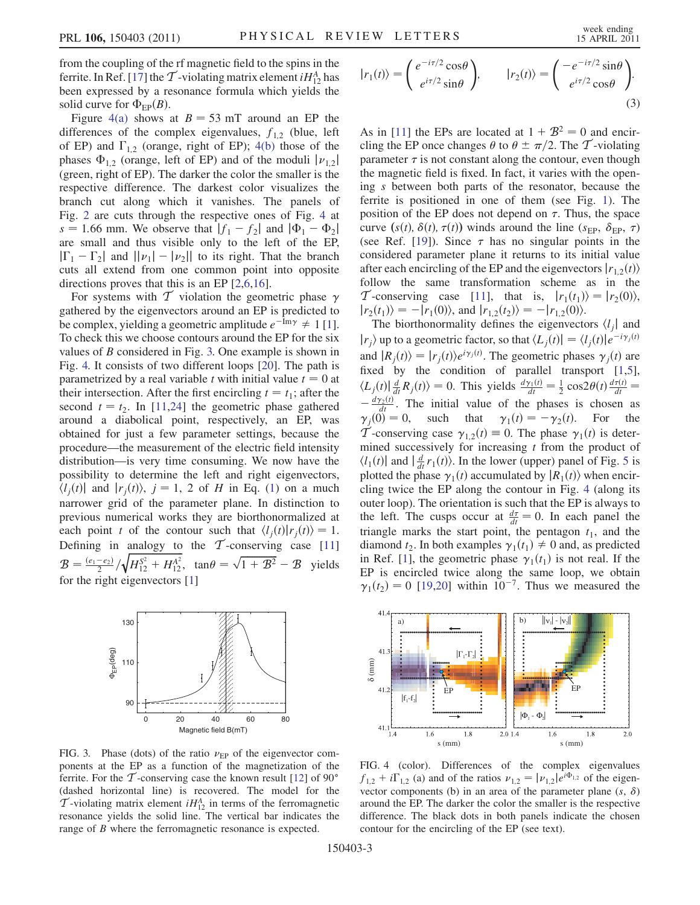from the coupling of the rf magnetic field to the spins in the ferrite. In Ref. [\[17\]](#page-4-14) the  $\mathcal T$ -violating matrix element  $iH_{12}^A$  has been expressed by a resonance formula which yields the solid curve for  $\Phi_{\text{FP}}(B)$ .

Figure [4\(a\)](#page-3-1) shows at  $B = 53$  mT around an EP the differences of the complex eigenvalues,  $f_{1,2}$  (blue, left of EP) and  $\Gamma_{1,2}$  (orange, right of EP); [4\(b\)](#page-3-1) those of the phases  $\Phi_{1,2}$  (orange, left of EP) and of the moduli  $|\nu_{1,2}|$ (green, right of EP). The darker the color the smaller is the respective difference. The darkest color visualizes the branch cut along which it vanishes. The panels of Fig. [2](#page-2-1) are cuts through the respective ones of Fig. [4](#page-3-2) at  $s = 1.66$  mm. We observe that  $|f_1 - f_2|$  and  $|\Phi_1 - \Phi_2|$ are small and thus visible only to the left of the EP,  $|\Gamma_1 - \Gamma_2|$  and  $||\nu_1| - |\nu_2||$  to its right. That the branch<br>cuts all extend from one common point into opposite cuts all extend from one common point into opposite directions proves that this is an EP [[2,](#page-4-5)[6](#page-4-4)[,16\]](#page-4-13).

For systems with  $\mathcal T$  violation the geometric phase  $\gamma$ gathered by the eigenvectors around an EP is predicted to be complex, yielding a geometric amplitude  $e^{-Im \gamma} \neq 1$  [[1\]](#page-4-1). To check this we choose contours around the EP for the six values of B considered in Fig. [3.](#page-3-0) One example is shown in Fig. [4.](#page-3-2) It consists of two different loops [[20](#page-4-17)]. The path is parametrized by a real variable t with initial value  $t = 0$  at their intersection. After the first encircling  $t = t_1$ ; after the second  $t = t_2$ . In [[11](#page-4-18),[24](#page-4-24)] the geometric phase gathered around a diabolical point, respectively, an EP, was obtained for just a few parameter settings, because the procedure—the measurement of the electric field intensity distribution—is very time consuming. We now have the possibility to determine the left and right eigenvectors,  $\langle l_i(t)|$  and  $|r_i(t)\rangle$ ,  $j = 1, 2$  $j = 1, 2$  $j = 1, 2$  of H in Eq. (1) on a much narrower grid of the parameter plane. In distinction to previous numerical works they are biorthonormalized at each point t of the contour such that  $\langle l_i(t)|r_i(t)\rangle = 1$ . Defining in analogy to the  $\mathcal T$ -conserving case [\[11\]](#page-4-18)  $\mathcal{B} = \frac{(e_1 - e_2)}{2} / \sqrt{H_{12}^{S^2} + H_{12}^{A^2}}$ , tan  $\theta = \sqrt{1 + \mathcal{B}^2} - \mathcal{B}$  yields for the right eigenvectors [\[1](#page-4-1)]

<span id="page-3-0"></span>

FIG. 3. Phase (dots) of the ratio  $\nu_{\rm EP}$  of the eigenvector components at the EP as a function of the magnetization of the ferrite. For the  $\mathcal T$ -conserving case the known result [[12](#page-4-19)] of 90 $^{\circ}$ (dashed horizontal line) is recovered. The model for the  $\mathcal T$ -violating matrix element  $iH_{12}^A$  in terms of the ferromagnetic resonance yields the solid line. The vertical bar indicates the range of *B* where the ferromagnetic resonance is expected.

<span id="page-3-3"></span>
$$
|r_1(t)\rangle = \begin{pmatrix} e^{-i\tau/2}\cos\theta \\ e^{i\tau/2}\sin\theta \end{pmatrix}, \qquad |r_2(t)\rangle = \begin{pmatrix} -e^{-i\tau/2}\sin\theta \\ e^{i\tau/2}\cos\theta \end{pmatrix}.
$$
\n(3)

As in [[11](#page-4-18)] the EPs are located at  $1 + B^2 = 0$  and encircling the EP once changes  $\theta$  to  $\theta \pm \pi/2$ . The T-violating parameter  $\tau$  is not constant along the contour even though parameter  $\tau$  is not constant along the contour, even though the magnetic field is fixed. In fact, it varies with the opening s between both parts of the resonator, because the ferrite is positioned in one of them (see Fig. [1](#page-1-0)). The position of the EP does not depend on  $\tau$ . Thus, the space curve  $(s(t), \delta(t), \tau(t))$  winds around the line (s<sub>EP</sub>,  $\delta_{\text{EP}}$ ,  $\tau$ ) (see Ref. [[19](#page-4-16)]). Since  $\tau$  has no singular points in the considered parameter plane it returns to its initial value after each encircling of the EP and the eigenvectors  $|r_{1,2}(t)\rangle$ follow the same transformation scheme as in the T-conserving case [\[11\]](#page-4-18), that is,  $|r_1(t_1)\rangle = |r_2(0)\rangle$ ,  $|r_2(t_1)\rangle = -|r_1(0)\rangle$ , and  $|r_{1,2}(t_2)\rangle = -|r_{1,2}(0)\rangle$ .

The biorthonormality defines the eigenvectors  $\langle l_i |$  and  $|r_i\rangle$  up to a geometric factor, so that  $\langle L_i(t)| = \langle l_i(t)|e^{-i\gamma_j(t)}\rangle$ and  $|R_j(t)\rangle = |r_j(t)\rangle e^{i\gamma_j(t)}$ . The geometric phases  $\gamma_j(t)$  are<br>fixed by the condition of parallel transport [1.5] fixed by the condition of parallel transport [[1](#page-4-1),[5\]](#page-4-3),  $\langle L_j(t) | \frac{d}{dt} R_j(t) \rangle = 0$ . This yields  $\frac{d\gamma_1(t)}{dt} = \frac{1}{2} \cos 2\theta(t) \frac{d\tau(t)}{dt} =$  $-\frac{dy_2(t)}{dt}$ . The initial value of the phases is chosen as<br> $\alpha(t) = 0$ , such that  $\alpha(t) = -\alpha(t)$ . For the  $\gamma_j(0) = 0$ , such that  $\gamma_1(t) = -\gamma_2(t)$ . For the T-conserving case  $\gamma_{1,2}(t) \equiv 0$ . The phase  $\gamma_1(t)$  is determined successively for increasing  $t$  from the product of  $\langle l_1(t) \vert$  and  $\vert \frac{d}{dt} r_1(t) \rangle$ . In the lower (upper) panel of Fig. [5](#page-4-25) is plotted the phase  $\gamma_1(t)$  accumulated by  $|R_1(t)\rangle$  when encircling twice the EP along the contour in Fig. [4](#page-3-2) (along its outer loop). The orientation is such that the EP is always to the left. The cusps occur at  $\frac{d\tau}{dt} = 0$ . In each panel the triangle marks the start point, the pentagon t, and the triangle marks the start point, the pentagon  $t_1$ , and the diamond  $t_2$ . In both examples  $\gamma_1(t_1) \neq 0$  and, as predicted in Ref. [[1](#page-4-1)], the geometric phase  $\gamma_1(t_1)$  is not real. If the EP is encircled twice along the same loop, we obtain  $\gamma_1(t_2) = 0$  [\[19](#page-4-16)[,20\]](#page-4-17) within 10<sup>-7</sup>. Thus we measured the

<span id="page-3-2"></span>

<span id="page-3-1"></span>FIG. 4 (color). Differences of the complex eigenvalues  $f_{1,2} + i\Gamma_{1,2}$  (a) and of the ratios  $\nu_{1,2} = |\nu_{1,2}|e^{i\Phi_{1,2}}$  of the eigen-<br>vector components (b) in an area of the parameter plane (s.  $\delta$ ) vector components (b) in an area of the parameter plane  $(s, \delta)$ around the EP. The darker the color the smaller is the respective difference. The black dots in both panels indicate the chosen contour for the encircling of the EP (see text).